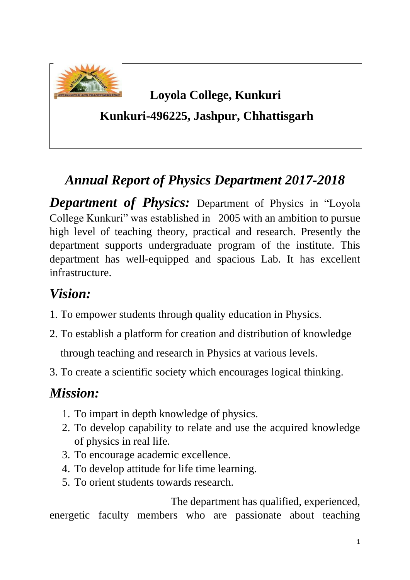

# **Loyola College, Kunkuri**

 **Kunkuri-496225, Jashpur, Chhattisgarh**

# *Annual Report of Physics Department 2017-2018*

*Department of Physics:* Department of Physics in "Loyola College Kunkuri" was established in 2005 with an ambition to pursue high level of teaching theory, practical and research. Presently the department supports undergraduate program of the institute. This department has well-equipped and spacious Lab. It has excellent infrastructure.

# *Vision:*

- 1. To empower students through quality education in Physics.
- 2. To establish a platform for creation and distribution of knowledge through teaching and research in Physics at various levels.
- 3. To create a scientific society which encourages logical thinking.

# *Mission:*

- 1. To impart in depth knowledge of physics.
- 2. To develop capability to relate and use the acquired knowledge of physics in real life.
- 3. To encourage academic excellence.
- 4. To develop attitude for life time learning.
- 5. To orient students towards research.

 The department has qualified, experienced, energetic faculty members who are passionate about teaching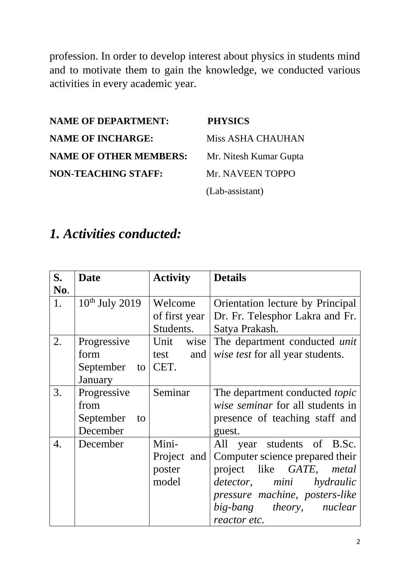profession. In order to develop interest about physics in students mind and to motivate them to gain the knowledge, we conducted various activities in every academic year.

**NAME OF DEPARTMENT: PHYSICS NAME OF INCHARGE:** Miss ASHA CHAUHAN **NAME OF OTHER MEMBERS:** Mr. Nitesh Kumar Gupta **NON-TEACHING STAFF:** Mr. NAVEEN TOPPO

(Lab-assistant)

#### *1. Activities conducted:*

| S.<br>No. | <b>Date</b>                                        | <b>Activity</b>                         | <b>Details</b>                                                                                                                                                                                         |
|-----------|----------------------------------------------------|-----------------------------------------|--------------------------------------------------------------------------------------------------------------------------------------------------------------------------------------------------------|
| 1.        | $10th$ July 2019                                   | Welcome<br>of first year<br>Students.   | Orientation lecture by Principal<br>Dr. Fr. Telesphor Lakra and Fr.<br>Satya Prakash.                                                                                                                  |
| 2.        | Progressive<br>form<br>September<br>to<br>January  | Unit<br>wise<br>test<br>and<br>CET.     | The department conducted <i>unit</i><br>wise test for all year students.                                                                                                                               |
| 3.        | Progressive<br>from<br>September<br>to<br>December | Seminar                                 | The department conducted topic<br>wise seminar for all students in<br>presence of teaching staff and<br>guest.                                                                                         |
| 4.        | December                                           | Mini-<br>Project and<br>poster<br>model | All year students of B.Sc.<br>Computer science prepared their<br>like GATE, metal<br>project<br>detector, mini hydraulic<br>pressure machine, posters-like<br>big-bang theory, nuclear<br>reactor etc. |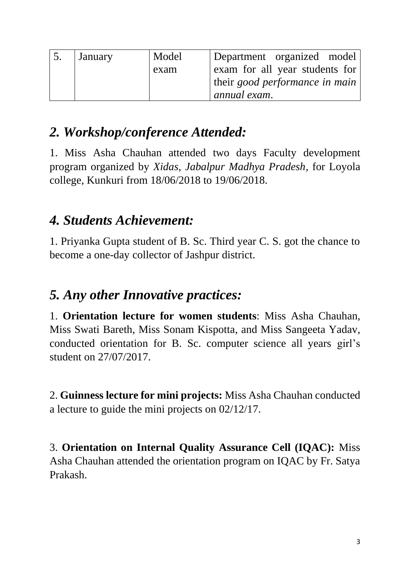| January | Model | Department organized model     |
|---------|-------|--------------------------------|
|         | exam  | exam for all year students for |
|         |       | their good performance in main |
|         |       | annual exam.                   |

# *2. Workshop/conference Attended:*

1. Miss Asha Chauhan attended two days Faculty development program organized by *Xidas, Jabalpur Madhya Pradesh*, for Loyola college, Kunkuri from 18/06/2018 to 19/06/2018.

### *4. Students Achievement:*

1. Priyanka Gupta student of B. Sc. Third year C. S. got the chance to become a one-day collector of Jashpur district.

### *5. Any other Innovative practices:*

1. **Orientation lecture for women students**: Miss Asha Chauhan, Miss Swati Bareth, Miss Sonam Kispotta, and Miss Sangeeta Yadav, conducted orientation for B. Sc. computer science all years girl's student on 27/07/2017.

2. **Guinness lecture for mini projects:** Miss Asha Chauhan conducted a lecture to guide the mini projects on 02/12/17.

3. **Orientation on Internal Quality Assurance Cell (IQAC):** Miss Asha Chauhan attended the orientation program on IQAC by Fr. Satya Prakash.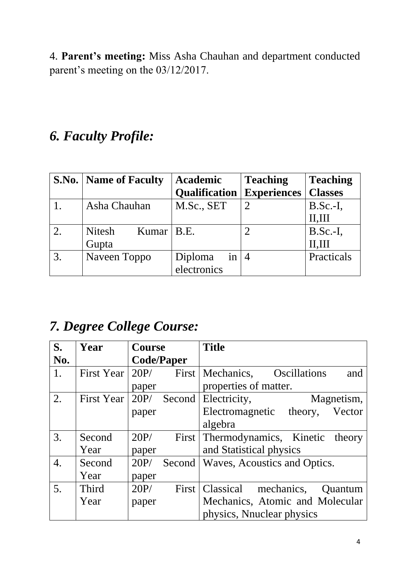4. **Parent's meeting:** Miss Asha Chauhan and department conducted parent's meeting on the 03/12/2017.

# *6. Faculty Profile:*

|    | <b>S.No.</b>   <b>Name of Faculty</b> | <b>Academic</b>      | <b>Teaching</b>    | <b>Teaching</b> |
|----|---------------------------------------|----------------------|--------------------|-----------------|
|    |                                       | <b>Qualification</b> | <b>Experiences</b> | <b>Classes</b>  |
|    | Asha Chauhan                          | M.Sc., SET           | $\overline{2}$     | $B.Sc.-I,$      |
|    |                                       |                      |                    | II, III         |
|    | <b>Nitesh</b><br>Kumar   $B.E.$       |                      |                    | $B.Sc.-I,$      |
|    | Gupta                                 |                      |                    | II.III          |
| 3. | Naveen Toppo                          | Diploma<br>in        | $\overline{4}$     | Practicals      |
|    |                                       | electronics          |                    |                 |

# *7. Degree College Course:*

| S.  | Year              | <b>Course</b> |                   | <b>Title</b>                               |
|-----|-------------------|---------------|-------------------|--------------------------------------------|
| No. |                   |               | <b>Code/Paper</b> |                                            |
| 1.  | First Year        | 20P/          |                   | First Mechanics, Oscillations<br>and       |
|     |                   | paper         |                   | properties of matter.                      |
| 2.  | First Year $20P/$ |               | Second            | Electricity,<br>Magnetism,                 |
|     |                   | paper         |                   | Vector<br>Electromagnetic<br>theory,       |
|     |                   |               |                   | algebra                                    |
| 3.  | Second            | 20P/          |                   | First Thermodynamics, Kinetic theory       |
|     | Year              | paper         |                   | and Statistical physics                    |
| 4.  | Second            | 20P/          |                   | Second   Waves, Acoustics and Optics.      |
|     | Year              | paper         |                   |                                            |
| 5.  | Third             | 20P/          |                   | First   Classical<br>mechanics,<br>Quantum |
|     | Year              | paper         |                   | Mechanics, Atomic and Molecular            |
|     |                   |               |                   | physics, Nnuclear physics                  |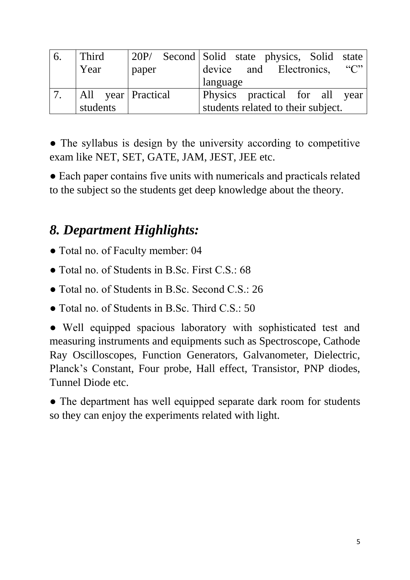| 6. | Third                | 20P/  | Second Solid state physics, Solid state |
|----|----------------------|-------|-----------------------------------------|
|    | Year                 | paper | $\lq\lq C$<br>device and Electronics,   |
|    |                      |       | language                                |
|    | All year   Practical |       | Physics practical for all year          |
|    | students             |       | students related to their subject.      |

• The syllabus is design by the university according to competitive exam like NET, SET, GATE, JAM, JEST, JEE etc.

• Each paper contains five units with numericals and practicals related to the subject so the students get deep knowledge about the theory.

# *8. Department Highlights:*

- Total no. of Faculty member: 04
- Total no. of Students in B.Sc. First C.S.: 68
- Total no. of Students in B.Sc. Second C.S.: 26
- Total no. of Students in B.Sc. Third C.S.: 50

• Well equipped spacious laboratory with sophisticated test and measuring instruments and equipments such as Spectroscope, Cathode Ray Oscilloscopes, Function Generators, Galvanometer, Dielectric, Planck's Constant, Four probe, Hall effect, Transistor, PNP diodes, Tunnel Diode etc.

• The department has well equipped separate dark room for students so they can enjoy the experiments related with light.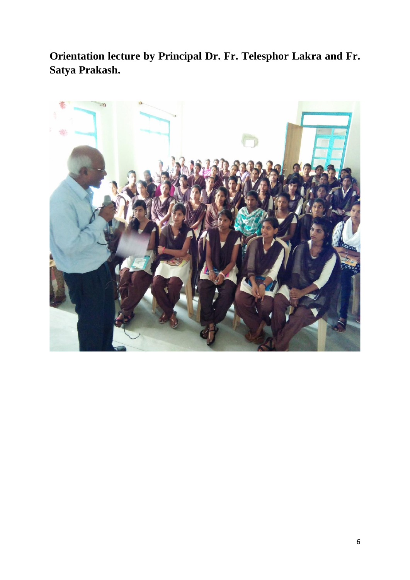**Orientation lecture by Principal Dr. Fr. Telesphor Lakra and Fr. Satya Prakash.**

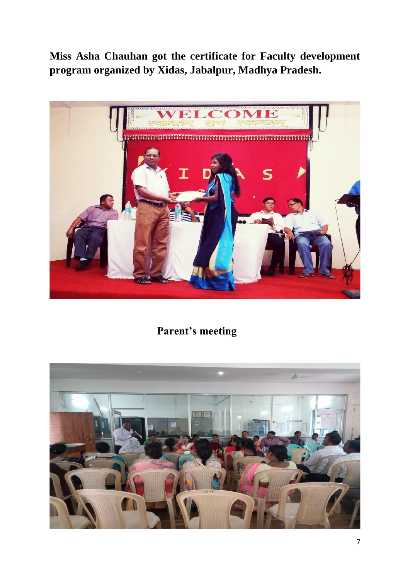**Miss Asha Chauhan got the certificate for Faculty development program organized by Xidas, Jabalpur, Madhya Pradesh.** 



 **Parent's meeting**

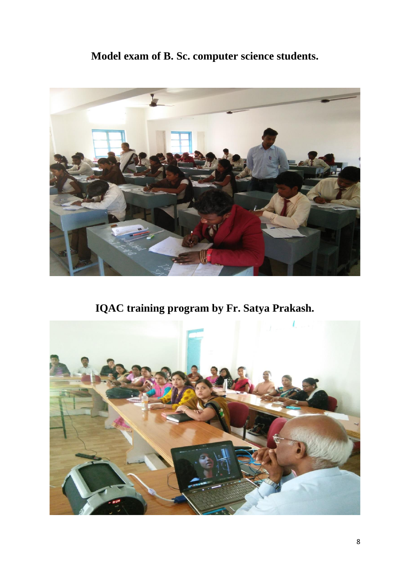#### **Model exam of B. Sc. computer science students.**



**IQAC training program by Fr. Satya Prakash.**